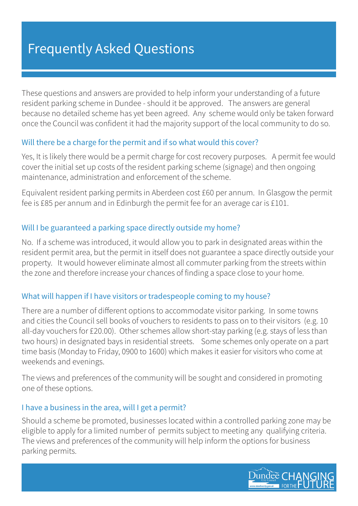# Frequently Asked Questions

These questions and answers are provided to help inform your understanding of a future resident parking scheme in Dundee - should it be approved. The answers are general because no detailed scheme has yet been agreed. Any scheme would only be taken forward once the Council was confident it had the majority support of the local community to do so.

#### Will there be a charge for the permit and if so what would this cover?

Yes, It is likely there would be a permit charge for cost recovery purposes. A permit fee would cover the initial set up costs of the resident parking scheme (signage) and then ongoing maintenance, administration and enforcement of the scheme.

Equivalent resident parking permits in Aberdeen cost £60 per annum. In Glasgow the permit fee is £85 per annum and in Edinburgh the permit fee for an average car is £101.

#### Will I be guaranteed a parking space directly outside my home?

No. If a scheme was introduced, it would allow you to park in designated areas within the resident permit area, but the permit in itself does not guarantee a space directly outside your property. It would however eliminate almost all commuter parking from the streets within the zone and therefore increase your chances of finding a space close to your home.

## What will happen if I have visitors or tradespeople coming to my house?

There are a number of different options to accommodate visitor parking. In some towns and cities the Council sell books of vouchers to residents to pass on to their visitors (e.g. 10 all-day vouchers for £20.00). Other schemes allow short-stay parking (e.g. stays of less than two hours) in designated bays in residential streets. Some schemes only operate on a part time basis (Monday to Friday, 0900 to 1600) which makes it easier for visitors who come at weekends and evenings.

The views and preferences of the community will be sought and considered in promoting one of these options.

#### I have a business in the area, will I get a permit?

Should a scheme be promoted, businesses located within a controlled parking zone may be eligible to apply for a limited number of permits subject to meeting any qualifying criteria. The views and preferences of the community will help inform the options for business parking permits.

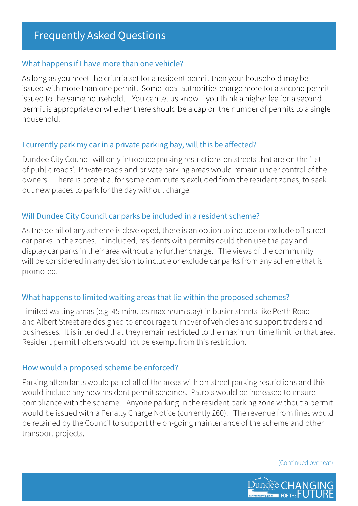#### What happens if I have more than one vehicle?

As long as you meet the criteria set for a resident permit then your household may be issued with more than one permit. Some local authorities charge more for a second permit issued to the same household. You can let us know if you think a higher fee for a second permit is appropriate or whether there should be a cap on the number of permits to a single household.

# I currently park my car in a private parking bay, will this be affected?

Dundee City Council will only introduce parking restrictions on streets that are on the 'list of public roads'. Private roads and private parking areas would remain under control of the owners. There is potential for some commuters excluded from the resident zones, to seek out new places to park for the day without charge.

# Will Dundee City Council car parks be included in a resident scheme?

As the detail of any scheme is developed, there is an option to include or exclude off-street car parks in the zones. If included, residents with permits could then use the pay and display car parks in their area without any further charge. The views of the community will be considered in any decision to include or exclude car parks from any scheme that is promoted.

# What happens to limited waiting areas that lie within the proposed schemes?

Limited waiting areas (e.g. 45 minutes maximum stay) in busier streets like Perth Road and Albert Street are designed to encourage turnover of vehicles and support traders and businesses. It is intended that they remain restricted to the maximum time limit for that area. Resident permit holders would not be exempt from this restriction.

## How would a proposed scheme be enforced?

Parking attendants would patrol all of the areas with on-street parking restrictions and this would include any new resident permit schemes. Patrols would be increased to ensure compliance with the scheme. Anyone parking in the resident parking zone without a permit would be issued with a Penalty Charge Notice (currently £60). The revenue from fines would be retained by the Council to support the on-going maintenance of the scheme and other transport projects.

(Continued overleaf)